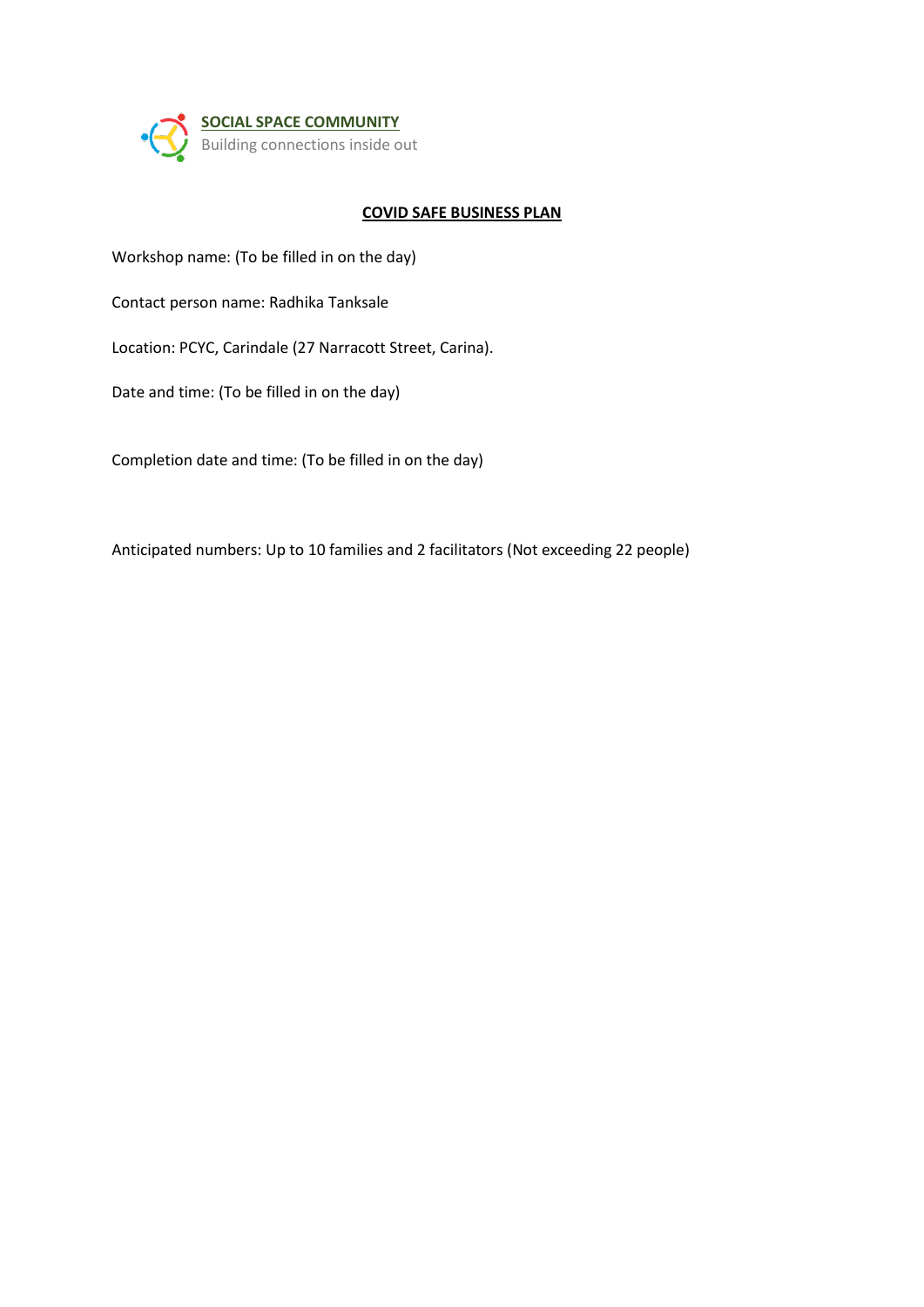

## **COVID SAFE BUSINESS PLAN**

Workshop name: (To be filled in on the day)

Contact person name: Radhika Tanksale

Location: PCYC, Carindale (27 Narracott Street, Carina).

Date and time: (To be filled in on the day)

Completion date and time: (To be filled in on the day)

Anticipated numbers: Up to 10 families and 2 facilitators (Not exceeding 22 people)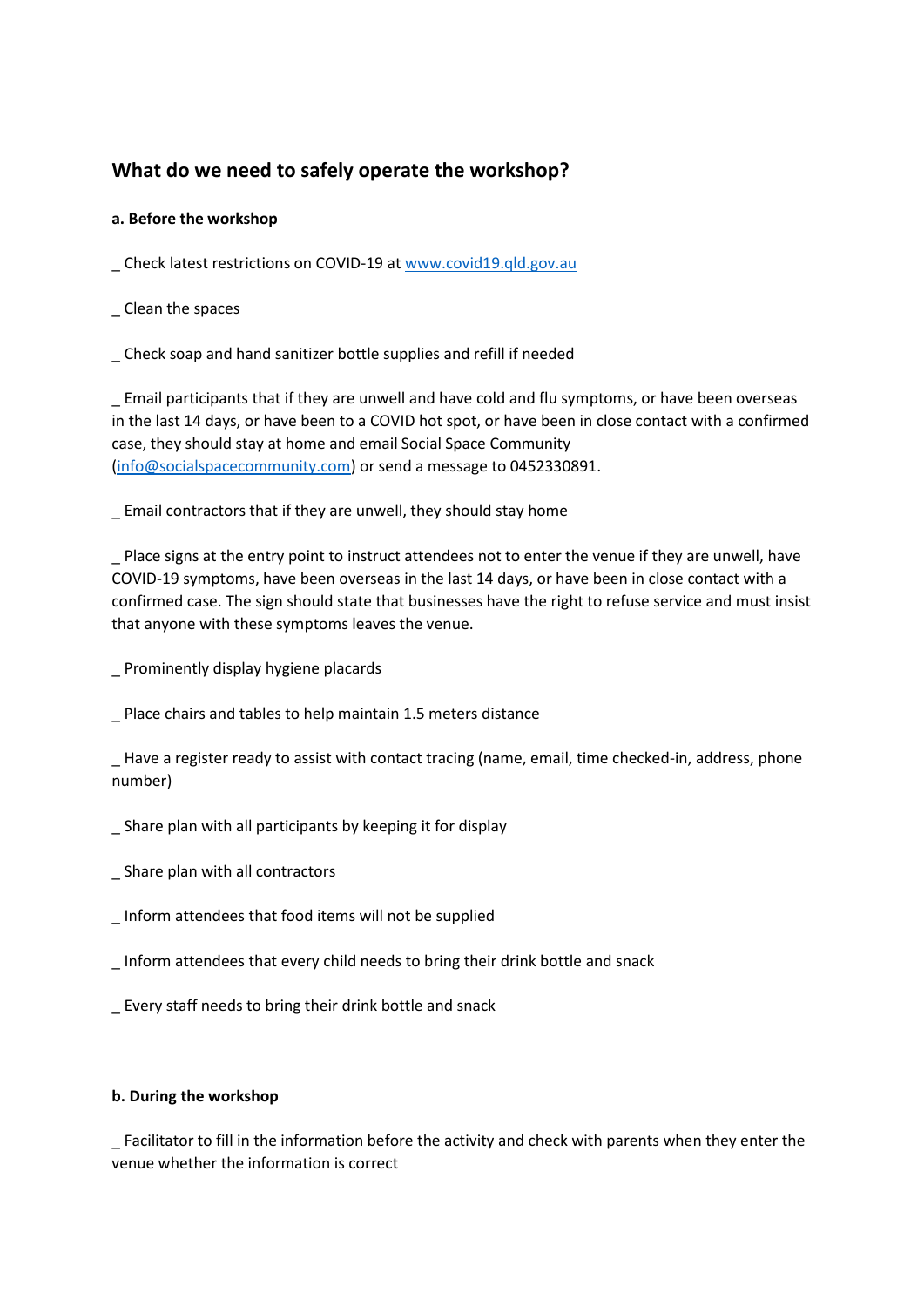# **What do we need to safely operate the workshop?**

## **a. Before the workshop**

\_ Check latest restrictions on COVID-19 at [www.covid19.qld.gov.au](http://www.covid19.qld.gov.au/)

\_ Clean the spaces

\_ Check soap and hand sanitizer bottle supplies and refill if needed

\_ Email participants that if they are unwell and have cold and flu symptoms, or have been overseas in the last 14 days, or have been to a COVID hot spot, or have been in close contact with a confirmed case, they should stay at home and email Social Space Community [\(info@socialspacecommunity.com\)](mailto:info@socialspacecommunity.com) or send a message to 0452330891.

\_ Email contractors that if they are unwell, they should stay home

Place signs at the entry point to instruct attendees not to enter the venue if they are unwell, have COVID-19 symptoms, have been overseas in the last 14 days, or have been in close contact with a confirmed case. The sign should state that businesses have the right to refuse service and must insist that anyone with these symptoms leaves the venue.

\_ Prominently display hygiene placards

\_ Place chairs and tables to help maintain 1.5 meters distance

\_ Have a register ready to assist with contact tracing (name, email, time checked-in, address, phone number)

\_ Share plan with all participants by keeping it for display

- \_ Share plan with all contractors
- \_ Inform attendees that food items will not be supplied
- \_ Inform attendees that every child needs to bring their drink bottle and snack
- \_ Every staff needs to bring their drink bottle and snack

#### **b. During the workshop**

\_ Facilitator to fill in the information before the activity and check with parents when they enter the venue whether the information is correct